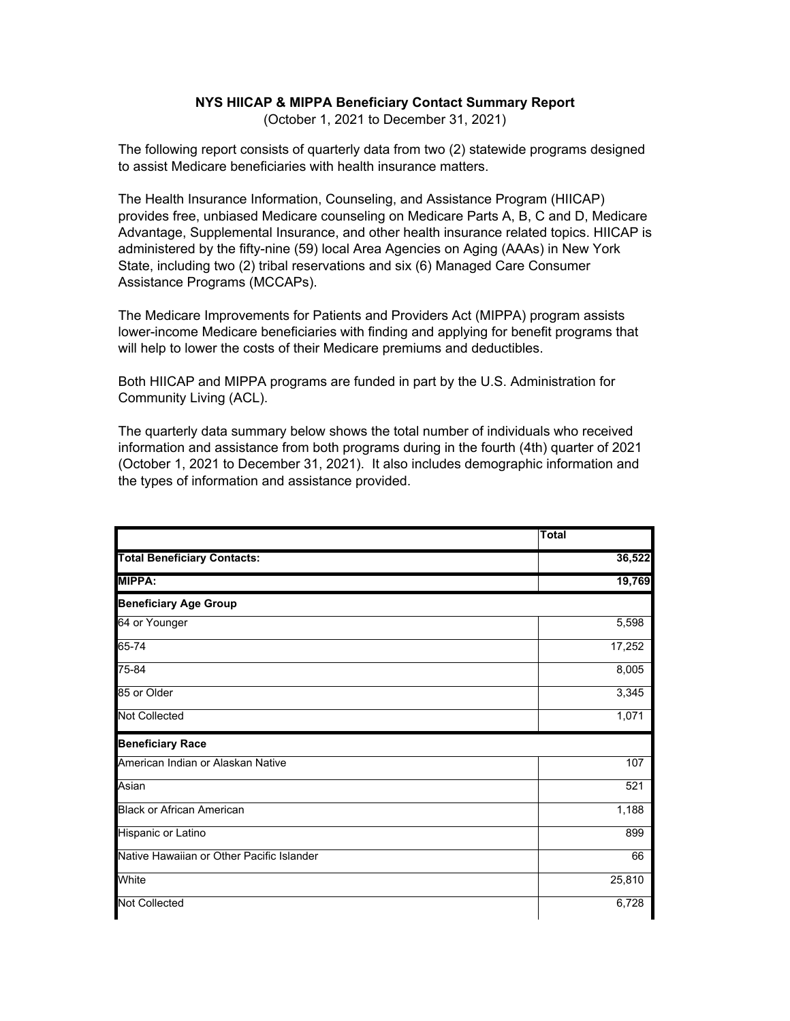## **NYS HIICAP & MIPPA Beneficiary Contact Summary Report**

(October 1, 2021 to December 31, 2021)

The following report consists of quarterly data from two (2) statewide programs designed to assist Medicare beneficiaries with health insurance matters.

The Health Insurance Information, Counseling, and Assistance Program (HIICAP) provides free, unbiased Medicare counseling on Medicare Parts A, B, C and D, Medicare Advantage, Supplemental Insurance, and other health insurance related topics. HIICAP is administered by the fifty-nine (59) local Area Agencies on Aging (AAAs) in New York State, including two (2) tribal reservations and six (6) Managed Care Consumer Assistance Programs (MCCAPs).

The Medicare Improvements for Patients and Providers Act (MIPPA) program assists lower-income Medicare beneficiaries with finding and applying for benefit programs that will help to lower the costs of their Medicare premiums and deductibles.

Both HIICAP and MIPPA programs are funded in part by the U.S. Administration for Community Living (ACL).

The quarterly data summary below shows the total number of individuals who received information and assistance from both programs during in the fourth (4th) quarter of 2021 (October 1, 2021 to December 31, 2021). It also includes demographic information and the types of information and assistance provided.

|                                           | <b>Total</b> |
|-------------------------------------------|--------------|
| <b>Total Beneficiary Contacts:</b>        | 36,522       |
| <b>MIPPA:</b>                             | 19,769       |
| <b>Beneficiary Age Group</b>              |              |
| 64 or Younger                             | 5,598        |
| 65-74                                     | 17,252       |
| 75-84                                     | 8,005        |
| 85 or Older                               | 3,345        |
| <b>Not Collected</b>                      | 1,071        |
| <b>Beneficiary Race</b>                   |              |
| American Indian or Alaskan Native         | 107          |
| Asian                                     | 521          |
| <b>Black or African American</b>          | 1,188        |
| Hispanic or Latino                        | 899          |
| Native Hawaiian or Other Pacific Islander | 66           |
| White                                     | 25,810       |
| <b>Not Collected</b>                      | 6,728        |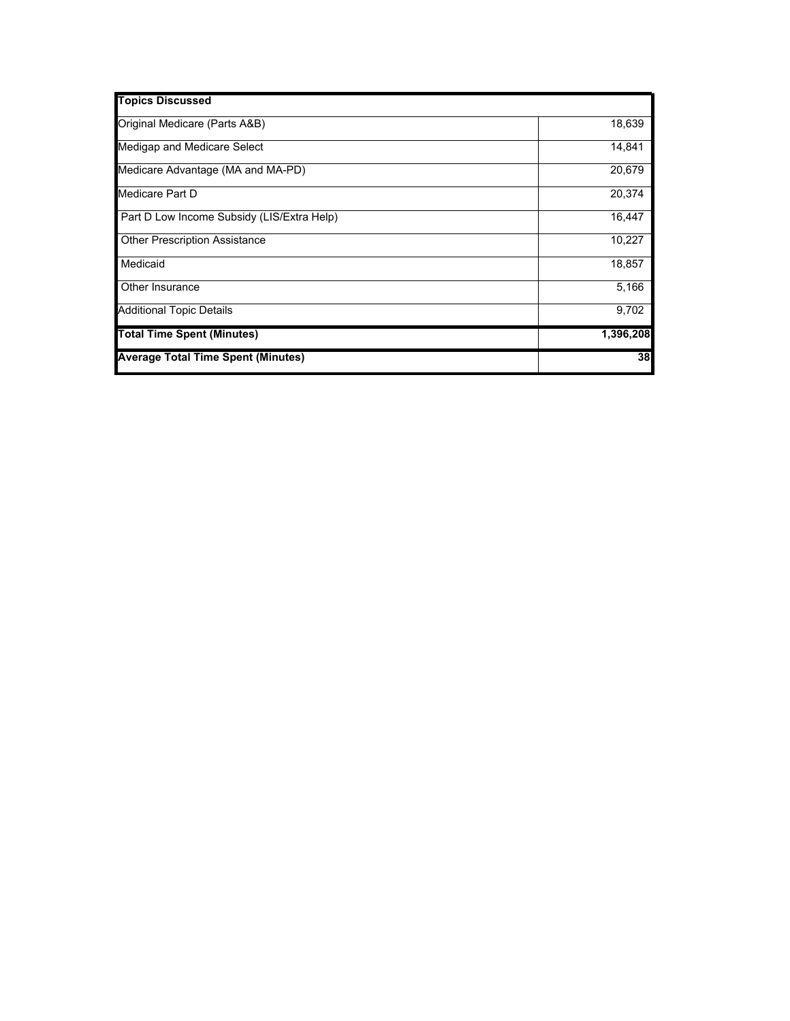| <b>Topics Discussed</b>                    |           |
|--------------------------------------------|-----------|
| Original Medicare (Parts A&B)              | 18,639    |
| Medigap and Medicare Select                | 14,841    |
| Medicare Advantage (MA and MA-PD)          | 20,679    |
| Medicare Part D                            | 20,374    |
| Part D Low Income Subsidy (LIS/Extra Help) | 16,447    |
| <b>Other Prescription Assistance</b>       | 10,227    |
| Medicaid                                   | 18,857    |
| Other Insurance                            | 5,166     |
| <b>Additional Topic Details</b>            | 9,702     |
| <b>Total Time Spent (Minutes)</b>          | 1,396,208 |
| <b>Average Total Time Spent (Minutes)</b>  | 38        |